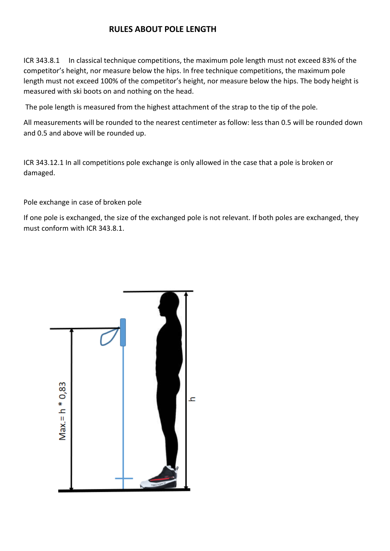## **RULES ABOUT POLE LENGTH**

ICR 343.8.1 In classical technique competitions, the maximum pole length must not exceed 83% of the competitor's height, nor measure below the hips. In free technique competitions, the maximum pole length must not exceed 100% of the competitor's height, nor measure below the hips. The body height is measured with ski boots on and nothing on the head.

The pole length is measured from the highest attachment of the strap to the tip of the pole.

All measurements will be rounded to the nearest centimeter as follow: less than 0.5 will be rounded down and 0.5 and above will be rounded up.

ICR 343.12.1 In all competitions pole exchange is only allowed in the case that a pole is broken or damaged.

Pole exchange in case of broken pole

If one pole is exchanged, the size of the exchanged pole is not relevant. If both poles are exchanged, they must conform with ICR 343.8.1.